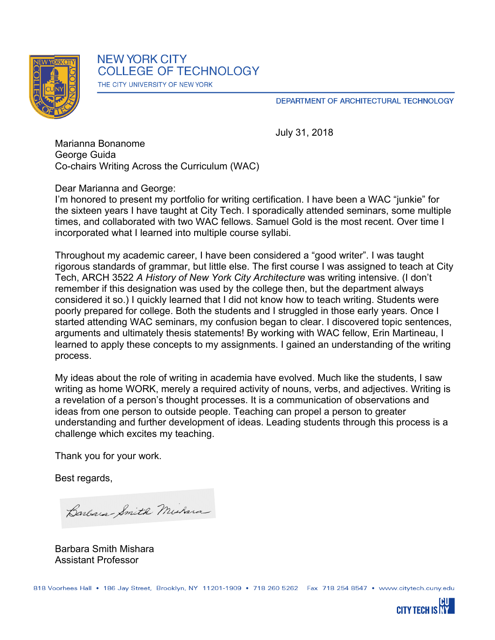

DEPARTMENT OF ARCHITECTURAL TECHNOLOGY

July 31, 2018

Marianna Bonanome George Guida Co-chairs Writing Across the Curriculum (WAC)

Dear Marianna and George:

I'm honored to present my portfolio for writing certification. I have been a WAC "junkie" for the sixteen years I have taught at City Tech. I sporadically attended seminars, some multiple times, and collaborated with two WAC fellows. Samuel Gold is the most recent. Over time I incorporated what I learned into multiple course syllabi.

Throughout my academic career, I have been considered a "good writer". I was taught rigorous standards of grammar, but little else. The first course I was assigned to teach at City Tech, ARCH 3522 *A History of New York City Architecture* was writing intensive. (I don't remember if this designation was used by the college then, but the department always considered it so.) I quickly learned that I did not know how to teach writing. Students were poorly prepared for college. Both the students and I struggled in those early years. Once I started attending WAC seminars, my confusion began to clear. I discovered topic sentences, arguments and ultimately thesis statements! By working with WAC fellow, Erin Martineau, I learned to apply these concepts to my assignments. I gained an understanding of the writing process.

My ideas about the role of writing in academia have evolved. Much like the students, I saw writing as home WORK, merely a required activity of nouns, verbs, and adjectives. Writing is a revelation of a person's thought processes. It is a communication of observations and ideas from one person to outside people. Teaching can propel a person to greater understanding and further development of ideas. Leading students through this process is a challenge which excites my teaching.

Thank you for your work.

Best regards,

Barbara Smith Michard

Barbara Smith Mishara Assistant Professor

818 Voorhees Hall • 186 Jay Street, Brooklyn, NY 11201-1909 • 718 260 5262 Fax 718 254 8547 • www.citytech.cuny.edu

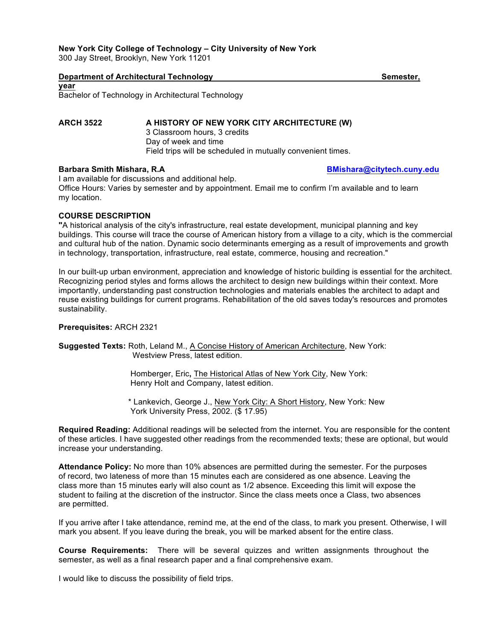## **New York City College of Technology – City University of New York**

300 Jay Street, Brooklyn, New York 11201

## **Department of Architectural Technology Semester, Architectural Technology Semester, Architectural Technology**

**year** Bachelor of Technology in Architectural Technology

**ARCH 3522 A HISTORY OF NEW YORK CITY ARCHITECTURE (W)** 3 Classroom hours, 3 credits Day of week and time Field trips will be scheduled in mutually convenient times.

I am available for discussions and additional help. Office Hours: Varies by semester and by appointment. Email me to confirm I'm available and to learn my location.

## **COURSE DESCRIPTION**

**"**A historical analysis of the city's infrastructure, real estate development, municipal planning and key buildings. This course will trace the course of American history from a village to a city, which is the commercial and cultural hub of the nation. Dynamic socio determinants emerging as a result of improvements and growth in technology, transportation, infrastructure, real estate, commerce, housing and recreation."

In our built-up urban environment, appreciation and knowledge of historic building is essential for the architect. Recognizing period styles and forms allows the architect to design new buildings within their context. More importantly, understanding past construction technologies and materials enables the architect to adapt and reuse existing buildings for current programs. Rehabilitation of the old saves today's resources and promotes sustainability.

## **Prerequisites:** ARCH 2321

**Suggested Texts:** Roth, Leland M., A Concise History of American Architecture, New York: Westview Press, latest edition.

> Homberger, Eric**,** The Historical Atlas of New York City, New York: Henry Holt and Company, latest edition.

 \* Lankevich, George J., New York City: A Short History, New York: New York University Press, 2002. (\$ 17.95)

**Required Reading:** Additional readings will be selected from the internet. You are responsible for the content of these articles. I have suggested other readings from the recommended texts; these are optional, but would increase your understanding.

**Attendance Policy:** No more than 10% absences are permitted during the semester. For the purposes of record, two lateness of more than 15 minutes each are considered as one absence. Leaving the class more than 15 minutes early will also count as 1/2 absence. Exceeding this limit will expose the student to failing at the discretion of the instructor. Since the class meets once a Class, two absences are permitted.

If you arrive after I take attendance, remind me, at the end of the class, to mark you present. Otherwise, I will mark you absent. If you leave during the break, you will be marked absent for the entire class.

**Course Requirements:** There will be several quizzes and written assignments throughout the semester, as well as a final research paper and a final comprehensive exam.

I would like to discuss the possibility of field trips.

**Barbara Smith Mishara, R.A BARGAN BEART AND BUT BEART BEART BEART BEART BEART BEART ACT AND BUT BEART ACTS AND**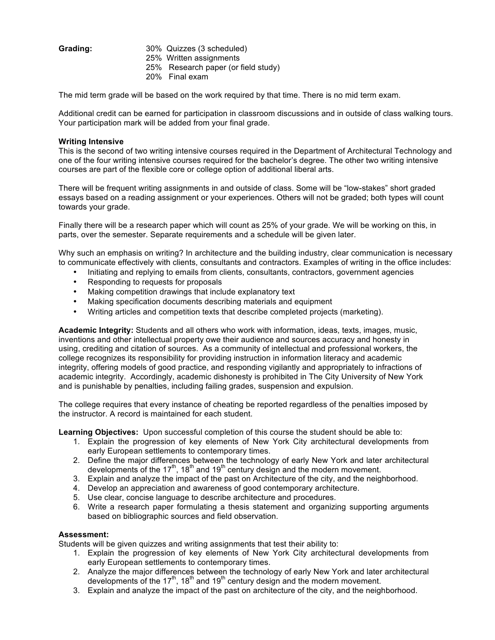- Grading: 30% Quizzes (3 scheduled)
	- 25% Written assignments
	- 25% Research paper (or field study)
	- 20% Final exam

The mid term grade will be based on the work required by that time. There is no mid term exam.

Additional credit can be earned for participation in classroom discussions and in outside of class walking tours. Your participation mark will be added from your final grade.

## **Writing Intensive**

This is the second of two writing intensive courses required in the Department of Architectural Technology and one of the four writing intensive courses required for the bachelor's degree. The other two writing intensive courses are part of the flexible core or college option of additional liberal arts.

There will be frequent writing assignments in and outside of class. Some will be "low-stakes" short graded essays based on a reading assignment or your experiences. Others will not be graded; both types will count towards your grade.

Finally there will be a research paper which will count as 25% of your grade. We will be working on this, in parts, over the semester. Separate requirements and a schedule will be given later.

Why such an emphasis on writing? In architecture and the building industry, clear communication is necessary to communicate effectively with clients, consultants and contractors. Examples of writing in the office includes:

- Initiating and replying to emails from clients, consultants, contractors, government agencies
- Responding to requests for proposals
- Making competition drawings that include explanatory text
- Making specification documents describing materials and equipment
- Writing articles and competition texts that describe completed projects (marketing).

**Academic Integrity:** Students and all others who work with information, ideas, texts, images, music, inventions and other intellectual property owe their audience and sources accuracy and honesty in using, crediting and citation of sources. As a community of intellectual and professional workers, the college recognizes its responsibility for providing instruction in information literacy and academic integrity, offering models of good practice, and responding vigilantly and appropriately to infractions of academic integrity. Accordingly, academic dishonesty is prohibited in The City University of New York and is punishable by penalties, including failing grades, suspension and expulsion.

The college requires that every instance of cheating be reported regardless of the penalties imposed by the instructor. A record is maintained for each student.

**Learning Objectives:** Upon successful completion of this course the student should be able to:

- 1. Explain the progression of key elements of New York City architectural developments from early European settlements to contemporary times.
- 2. Define the major differences between the technology of early New York and later architectural developments of the 17<sup>th</sup>, 18<sup>th</sup> and 19<sup>th</sup> century design and the modern movement.
- 3. Explain and analyze the impact of the past on Architecture of the city, and the neighborhood.
- 4. Develop an appreciation and awareness of good contemporary architecture.
- 5. Use clear, concise language to describe architecture and procedures.
- 6. Write a research paper formulating a thesis statement and organizing supporting arguments based on bibliographic sources and field observation.

## **Assessment:**

Students will be given quizzes and writing assignments that test their ability to:

- 1. Explain the progression of key elements of New York City architectural developments from early European settlements to contemporary times.
- 2. Analyze the major differences between the technology of early New York and later architectural developments of the 17<sup>th</sup>, 18<sup>th</sup> and 19<sup>th</sup> century design and the modern movement.
- 3. Explain and analyze the impact of the past on architecture of the city, and the neighborhood.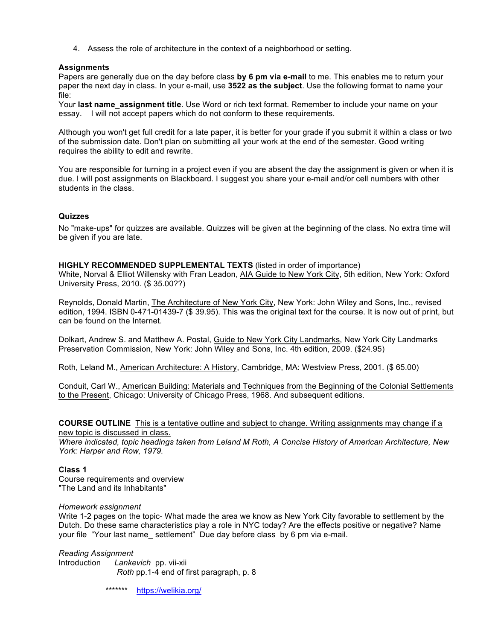4. Assess the role of architecture in the context of a neighborhood or setting.

## **Assignments**

Papers are generally due on the day before class **by 6 pm via e-mail** to me. This enables me to return your paper the next day in class. In your e-mail, use **3522 as the subject**. Use the following format to name your file:

Your **last name\_assignment title**. Use Word or rich text format. Remember to include your name on your essay. I will not accept papers which do not conform to these requirements.

Although you won't get full credit for a late paper, it is better for your grade if you submit it within a class or two of the submission date. Don't plan on submitting all your work at the end of the semester. Good writing requires the ability to edit and rewrite.

You are responsible for turning in a project even if you are absent the day the assignment is given or when it is due. I will post assignments on Blackboard. I suggest you share your e-mail and/or cell numbers with other students in the class.

## **Quizzes**

No "make-ups" for quizzes are available. Quizzes will be given at the beginning of the class. No extra time will be given if you are late.

## **HIGHLY RECOMMENDED SUPPLEMENTAL TEXTS** (listed in order of importance)

White, Norval & Elliot Willensky with Fran Leadon, AIA Guide to New York City, 5th edition, New York: Oxford University Press, 2010. (\$ 35.00??)

Reynolds, Donald Martin, The Architecture of New York City, New York: John Wiley and Sons, Inc., revised edition, 1994. ISBN 0-471-01439-7 (\$ 39.95). This was the original text for the course. It is now out of print, but can be found on the Internet.

Dolkart, Andrew S. and Matthew A. Postal, Guide to New York City Landmarks, New York City Landmarks Preservation Commission, New York: John Wiley and Sons, Inc. 4th edition, 2009. (\$24.95)

Roth, Leland M., American Architecture: A History, Cambridge, MA: Westview Press, 2001. (\$ 65.00)

Conduit, Carl W., American Building: Materials and Techniques from the Beginning of the Colonial Settlements to the Present, Chicago: University of Chicago Press, 1968. And subsequent editions.

**COURSE OUTLINE** This is a tentative outline and subject to change. Writing assignments may change if a new topic is discussed in class.

*Where indicated, topic headings taken from Leland M Roth, A Concise History of American Architecture, New York: Harper and Row, 1979.*

## **Class 1**

Course requirements and overview "The Land and its Inhabitants"

*Homework assignment*

Write 1-2 pages on the topic- What made the area we know as New York City favorable to settlement by the Dutch. Do these same characteristics play a role in NYC today? Are the effects positive or negative? Name your file "Your last name\_ settlement" Due day before class by 6 pm via e-mail.

*Reading Assignment*  Introduction *Lankevich* pp. vii-xii *Roth* pp.1-4 end of first paragraph, p. 8

\*\*\*\*\*\*\* https://welikia.org/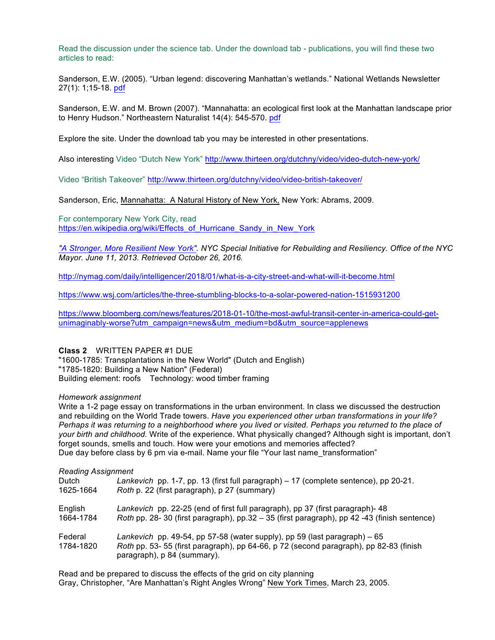Read the discussion under the science tab. Under the download tab - publications, you will find these two articles to read:

Sanderson, E.W. (2005). "Urban legend: discovering Manhattan's wetlands." National Wetlands Newsletter 27(1): 1;15-18. pdf

Sanderson, E.W. and M. Brown (2007). "Mannahatta: an ecological first look at the Manhattan landscape prior to Henry Hudson." Northeastern Naturalist 14(4): 545-570. pdf

Explore the site. Under the download tab you may be interested in other presentations.

Also interesting Video "Dutch New York" http://www.thirteen.org/dutchny/video/video-dutch-new-york/

Video "British Takeover" http://www.thirteen.org/dutchny/video/video-british-takeover/

Sanderson, Eric, Mannahatta: A Natural History of New York, New York: Abrams, 2009.

For contemporary New York City, read https://en.wikipedia.org/wiki/Effects\_of\_Hurricane\_Sandy\_in\_New\_York

*"A Stronger, More Resilient New York". NYC Special Initiative for Rebuilding and Resiliency. Office of the NYC Mayor. June 11, 2013. Retrieved October 26, 2016.*

http://nymag.com/daily/intelligencer/2018/01/what-is-a-city-street-and-what-will-it-become.html

https://www.wsj.com/articles/the-three-stumbling-blocks-to-a-solar-powered-nation-1515931200

https://www.bloomberg.com/news/features/2018-01-10/the-most-awful-transit-center-in-america-could-getunimaginably-worse?utm\_campaign=news&utm\_medium=bd&utm\_source=applenews

## **Class 2** WRITTEN PAPER #1 DUE

"1600-1785: Transplantations in the New World" (Dutch and English) "1785-1820: Building a New Nation" (Federal) Building element: roofs Technology: wood timber framing

#### *Homework assignment*

Write a 1-2 page essay on transformations in the urban environment. In class we discussed the destruction and rebuilding on the World Trade towers. *Have you experienced other urban transformations in your life? Perhaps it was returning to a neighborhood where you lived or visited. Perhaps you returned to the place of your birth and childhood.* Write of the experience. What physically changed? Although sight is important, don't forget sounds, smells and touch. How were your emotions and memories affected? Due day before class by 6 pm via e-mail. Name your file "Your last name\_transformation"

## *Reading Assignment*

| Dutch                | Lankevich pp. 1-7, pp. 13 (first full paragraph) – 17 (complete sentence), pp 20-21.                                                                                                               |
|----------------------|----------------------------------------------------------------------------------------------------------------------------------------------------------------------------------------------------|
| 1625-1664            | Roth p. 22 (first paragraph), p 27 (summary)                                                                                                                                                       |
| English              | Lankevich pp. 22-25 (end of first full paragraph), pp 37 (first paragraph)- 48                                                                                                                     |
| 1664-1784            | Roth pp. 28-30 (first paragraph), pp.32 - 35 (first paragraph), pp 42 -43 (finish sentence)                                                                                                        |
| Federal<br>1784-1820 | Lankevich pp. 49-54, pp 57-58 (water supply), pp 59 (last paragraph) $-65$<br>Roth pp. 53-55 (first paragraph), pp 64-66, p 72 (second paragraph), pp 82-83 (finish<br>paragraph), p 84 (summary). |

Read and be prepared to discuss the effects of the grid on city planning Gray, Christopher, "Are Manhattan's Right Angles Wrong" New York Times, March 23, 2005.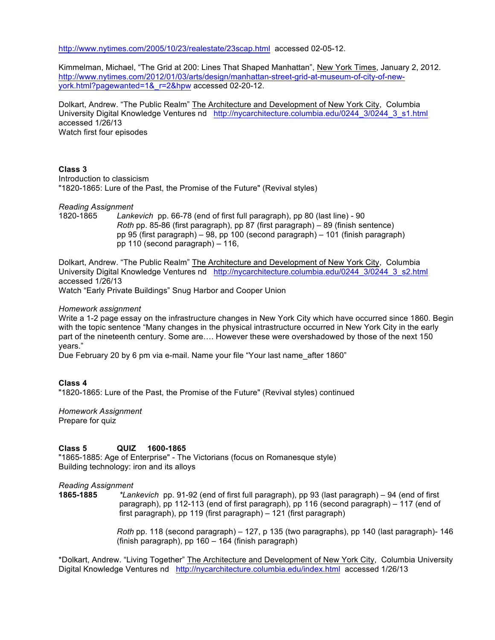http://www.nytimes.com/2005/10/23/realestate/23scap.html accessed 02-05-12.

Kimmelman, Michael, "The Grid at 200: Lines That Shaped Manhattan", New York Times, January 2, 2012. http://www.nytimes.com/2012/01/03/arts/design/manhattan-street-grid-at-museum-of-city-of-newyork.html?pagewanted=1&\_r=2&hpw accessed 02-20-12.

Dolkart, Andrew. "The Public Realm" The Architecture and Development of New York City, Columbia University Digital Knowledge Ventures nd http://nycarchitecture.columbia.edu/0244\_3/0244\_3\_s1.html accessed 1/26/13 Watch first four episodes

### **Class 3**

Introduction to classicism "1820-1865: Lure of the Past, the Promise of the Future" (Revival styles)

*Reading Assignment* 

1820-1865 *Lankevich* pp. 66-78 (end of first full paragraph), pp 80 (last line) - 90 *Roth* pp. 85-86 (first paragraph), pp 87 (first paragraph) – 89 (finish sentence) pp 95 (first paragraph) – 98, pp 100 (second paragraph) – 101 (finish paragraph) pp 110 (second paragraph) – 116,

Dolkart, Andrew. "The Public Realm" The Architecture and Development of New York City, Columbia University Digital Knowledge Ventures nd http://nycarchitecture.columbia.edu/0244 3/0244 3 s2.html accessed 1/26/13

Watch "Early Private Buildings" Snug Harbor and Cooper Union

### *Homework assignment*

Write a 1-2 page essay on the infrastructure changes in New York City which have occurred since 1860. Begin with the topic sentence "Many changes in the physical intrastructure occurred in New York City in the early part of the nineteenth century. Some are…. However these were overshadowed by those of the next 150 years."

Due February 20 by 6 pm via e-mail. Name your file "Your last name\_after 1860"

### **Class 4**

"1820-1865: Lure of the Past, the Promise of the Future" (Revival styles) continued

*Homework Assignment*  Prepare for quiz

## **Class 5 QUIZ 1600-1865**

"1865-1885: Age of Enterprise" - The Victorians (focus on Romanesque style) Building technology: iron and its alloys

*Reading Assignment* 

**1865-1885** *\*Lankevich* pp. 91-92 (end of first full paragraph), pp 93 (last paragraph) – 94 (end of first paragraph), pp 112-113 (end of first paragraph), pp 116 (second paragraph) – 117 (end of first paragraph), pp 119 (first paragraph) – 121 (first paragraph)

> *Roth* pp. 118 (second paragraph) – 127, p 135 (two paragraphs), pp 140 (last paragraph)- 146 (finish paragraph), pp 160 – 164 (finish paragraph)

\*Dolkart, Andrew. "Living Together" The Architecture and Development of New York City, Columbia University Digital Knowledge Ventures nd http://nycarchitecture.columbia.edu/index.html accessed 1/26/13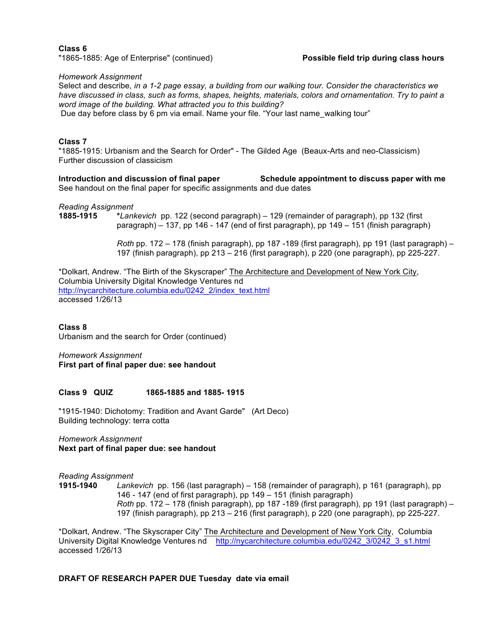**Class 6** "1865-1885: Age of Enterprise" (continued) **Possible field trip during class hours**

*Homework Assignment*

Select and describe, *in a 1-2 page essay, a building from our walking tour. Consider the characteristics we have discussed in class, such as forms, shapes, heights, materials, colors and ornamentation. Try to paint a word image of the building. What attracted you to this building?*

Due day before class by 6 pm via email. Name your file. "Your last name\_walking tour"

#### **Class 7**

"1885-1915: Urbanism and the Search for Order" - The Gilded Age (Beaux-Arts and neo-Classicism) Further discussion of classicism

**Introduction and discussion of final paper Schedule appointment to discuss paper with me** See handout on the final paper for specific assignments and due dates

*Reading Assignment* 

**1885-1915 \****Lankevich* pp. 122 (second paragraph) – 129 (remainder of paragraph), pp 132 (first paragraph) – 137, pp 146 - 147 (end of first paragraph), pp 149 – 151 (finish paragraph)

> *Roth* pp. 172 – 178 (finish paragraph), pp 187 -189 (first paragraph), pp 191 (last paragraph) – 197 (finish paragraph), pp 213 – 216 (first paragraph), p 220 (one paragraph), pp 225-227.

\*Dolkart, Andrew. "The Birth of the Skyscraper" The Architecture and Development of New York City, Columbia University Digital Knowledge Ventures nd http://nycarchitecture.columbia.edu/0242\_2/index\_text.html accessed 1/26/13

**Class 8**

Urbanism and the search for Order (continued)

*Homework Assignment* **First part of final paper due: see handout** 

#### **Class 9 QUIZ 1865-1885 and 1885- 1915**

"1915-1940: Dichotomy: Tradition and Avant Garde" (Art Deco) Building technology: terra cotta

*Homework Assignment* **Next part of final paper due: see handout** 

*Reading Assignment* 

**1915-1940** *Lankevich* pp. 156 (last paragraph) – 158 (remainder of paragraph), p 161 (paragraph), pp 146 - 147 (end of first paragraph), pp 149 – 151 (finish paragraph) *Roth* pp. 172 – 178 (finish paragraph), pp 187 -189 (first paragraph), pp 191 (last paragraph) – 197 (finish paragraph), pp 213 – 216 (first paragraph), p 220 (one paragraph), pp 225-227.

\*Dolkart, Andrew. "The Skyscraper City" The Architecture and Development of New York City, Columbia University Digital Knowledge Ventures nd http://nycarchitecture.columbia.edu/0242\_3/0242\_3\_s1.html accessed 1/26/13

## **DRAFT OF RESEARCH PAPER DUE Tuesday date via email**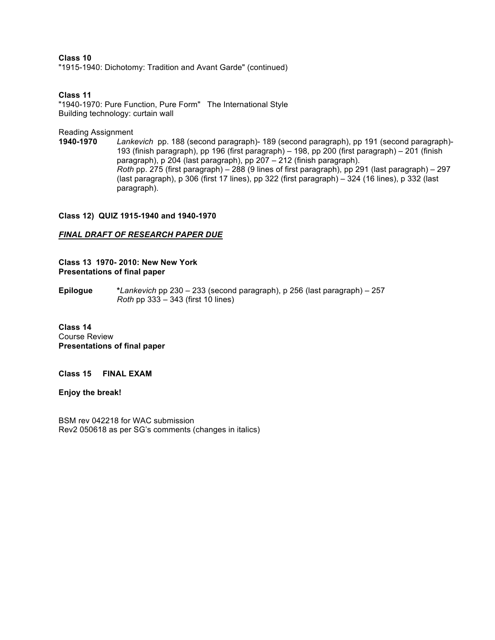**Class 10**  "1915-1940: Dichotomy: Tradition and Avant Garde" (continued)

**Class 11**

"1940-1970: Pure Function, Pure Form" The International Style Building technology: curtain wall

Reading Assignment

**1940-1970** *Lankevich* pp. 188 (second paragraph)- 189 (second paragraph), pp 191 (second paragraph)- 193 (finish paragraph), pp 196 (first paragraph) – 198, pp 200 (first paragraph) – 201 (finish paragraph), p 204 (last paragraph), pp 207 – 212 (finish paragraph). *Roth* pp. 275 (first paragraph) – 288 (9 lines of first paragraph), pp 291 (last paragraph) – 297 (last paragraph), p 306 (first 17 lines), pp 322 (first paragraph) – 324 (16 lines), p 332 (last paragraph).

## **Class 12) QUIZ 1915-1940 and 1940-1970**

## *FINAL DRAFT OF RESEARCH PAPER DUE*

**Class 13 1970- 2010: New New York Presentations of final paper**

**Epilogue \****Lankevich* pp 230 – 233 (second paragraph), p 256 (last paragraph) – 257 *Roth* pp 333 – 343 (first 10 lines)

**Class 14** Course Review **Presentations of final paper**

**Class 15 FINAL EXAM**

**Enjoy the break!** 

BSM rev 042218 for WAC submission Rev2 050618 as per SG's comments (changes in italics)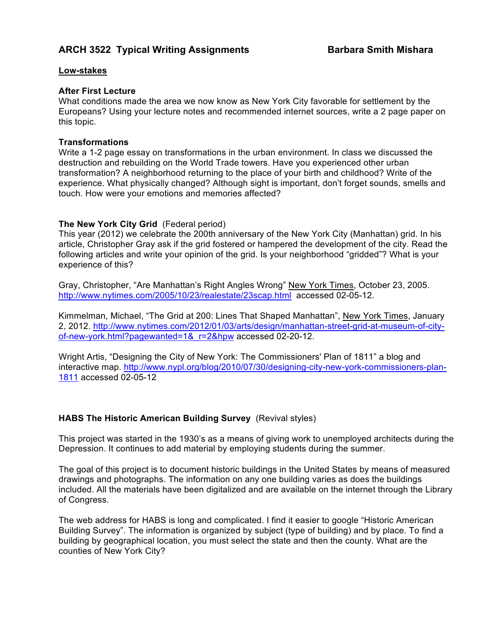# **ARCH 3522 Typical Writing Assignments Barbara Smith Mishara**

# **Low-stakes**

# **After First Lecture**

What conditions made the area we now know as New York City favorable for settlement by the Europeans? Using your lecture notes and recommended internet sources, write a 2 page paper on this topic.

# **Transformations**

Write a 1-2 page essay on transformations in the urban environment. In class we discussed the destruction and rebuilding on the World Trade towers. Have you experienced other urban transformation? A neighborhood returning to the place of your birth and childhood? Write of the experience. What physically changed? Although sight is important, don't forget sounds, smells and touch. How were your emotions and memories affected?

# **The New York City Grid** (Federal period)

This year (2012) we celebrate the 200th anniversary of the New York City (Manhattan) grid. In his article, Christopher Gray ask if the grid fostered or hampered the development of the city. Read the following articles and write your opinion of the grid. Is your neighborhood "gridded"? What is your experience of this?

Gray, Christopher, "Are Manhattan's Right Angles Wrong" New York Times, October 23, 2005. http://www.nytimes.com/2005/10/23/realestate/23scap.html accessed 02-05-12.

Kimmelman, Michael, "The Grid at 200: Lines That Shaped Manhattan", New York Times, January 2, 2012. http://www.nytimes.com/2012/01/03/arts/design/manhattan-street-grid-at-museum-of-cityof-new-york.html?pagewanted=1&\_r=2&hpw accessed 02-20-12.

Wright Artis, "Designing the City of New York: The Commissioners' Plan of 1811" a blog and interactive map. http://www.nypl.org/blog/2010/07/30/designing-city-new-york-commissioners-plan-1811 accessed 02-05-12

# **HABS The Historic American Building Survey** (Revival styles)

This project was started in the 1930's as a means of giving work to unemployed architects during the Depression. It continues to add material by employing students during the summer.

The goal of this project is to document historic buildings in the United States by means of measured drawings and photographs. The information on any one building varies as does the buildings included. All the materials have been digitalized and are available on the internet through the Library of Congress.

The web address for HABS is long and complicated. I find it easier to google "Historic American Building Survey". The information is organized by subject (type of building) and by place. To find a building by geographical location, you must select the state and then the county. What are the counties of New York City?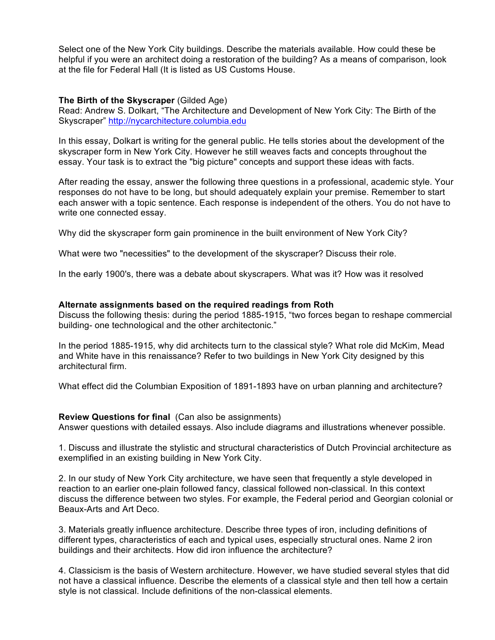Select one of the New York City buildings. Describe the materials available. How could these be helpful if you were an architect doing a restoration of the building? As a means of comparison, look at the file for Federal Hall (It is listed as US Customs House.

# **The Birth of the Skyscraper** (Gilded Age)

Read: Andrew S. Dolkart, "The Architecture and Development of New York City: The Birth of the Skyscraper" http://nycarchitecture.columbia.edu

In this essay, Dolkart is writing for the general public. He tells stories about the development of the skyscraper form in New York City. However he still weaves facts and concepts throughout the essay. Your task is to extract the "big picture" concepts and support these ideas with facts.

After reading the essay, answer the following three questions in a professional, academic style. Your responses do not have to be long, but should adequately explain your premise. Remember to start each answer with a topic sentence. Each response is independent of the others. You do not have to write one connected essay.

Why did the skyscraper form gain prominence in the built environment of New York City?

What were two "necessities" to the development of the skyscraper? Discuss their role.

In the early 1900's, there was a debate about skyscrapers. What was it? How was it resolved

## **Alternate assignments based on the required readings from Roth**

Discuss the following thesis: during the period 1885-1915, "two forces began to reshape commercial building- one technological and the other architectonic."

In the period 1885-1915, why did architects turn to the classical style? What role did McKim, Mead and White have in this renaissance? Refer to two buildings in New York City designed by this architectural firm.

What effect did the Columbian Exposition of 1891-1893 have on urban planning and architecture?

## **Review Questions for final** (Can also be assignments)

Answer questions with detailed essays. Also include diagrams and illustrations whenever possible.

1. Discuss and illustrate the stylistic and structural characteristics of Dutch Provincial architecture as exemplified in an existing building in New York City.

2. In our study of New York City architecture, we have seen that frequently a style developed in reaction to an earlier one-plain followed fancy, classical followed non-classical. In this context discuss the difference between two styles. For example, the Federal period and Georgian colonial or Beaux-Arts and Art Deco.

3. Materials greatly influence architecture. Describe three types of iron, including definitions of different types, characteristics of each and typical uses, especially structural ones. Name 2 iron buildings and their architects. How did iron influence the architecture?

4. Classicism is the basis of Western architecture. However, we have studied several styles that did not have a classical influence. Describe the elements of a classical style and then tell how a certain style is not classical. Include definitions of the non-classical elements.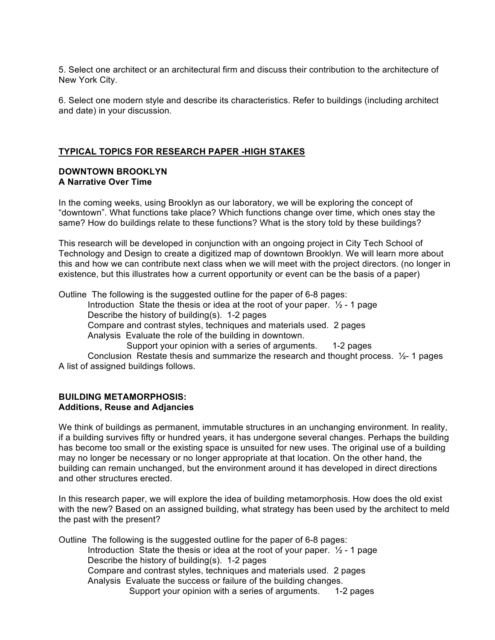5. Select one architect or an architectural firm and discuss their contribution to the architecture of New York City.

6. Select one modern style and describe its characteristics. Refer to buildings (including architect and date) in your discussion.

# **TYPICAL TOPICS FOR RESEARCH PAPER -HIGH STAKES**

# **DOWNTOWN BROOKLYN A Narrative Over Time**

In the coming weeks, using Brooklyn as our laboratory, we will be exploring the concept of "downtown". What functions take place? Which functions change over time, which ones stay the same? How do buildings relate to these functions? What is the story told by these buildings?

This research will be developed in conjunction with an ongoing project in City Tech School of Technology and Design to create a digitized map of downtown Brooklyn. We will learn more about this and how we can contribute next class when we will meet with the project directors. (no longer in existence, but this illustrates how a current opportunity or event can be the basis of a paper)

Outline The following is the suggested outline for the paper of 6-8 pages:

Introduction State the thesis or idea at the root of your paper.  $\frac{1}{2}$  - 1 page Describe the history of building(s). 1-2 pages

Compare and contrast styles, techniques and materials used. 2 pages

Analysis Evaluate the role of the building in downtown.

Support your opinion with a series of arguments. 1-2 pages

Conclusion Restate thesis and summarize the research and thought process. ½- 1 pages A list of assigned buildings follows.

## **BUILDING METAMORPHOSIS: Additions, Reuse and Adjancies**

We think of buildings as permanent, immutable structures in an unchanging environment. In reality, if a building survives fifty or hundred years, it has undergone several changes. Perhaps the building has become too small or the existing space is unsuited for new uses. The original use of a building may no longer be necessary or no longer appropriate at that location. On the other hand, the building can remain unchanged, but the environment around it has developed in direct directions and other structures erected.

In this research paper, we will explore the idea of building metamorphosis. How does the old exist with the new? Based on an assigned building, what strategy has been used by the architect to meld the past with the present?

Outline The following is the suggested outline for the paper of 6-8 pages: Introduction State the thesis or idea at the root of your paper.  $\frac{1}{2}$  - 1 page Describe the history of building(s). 1-2 pages Compare and contrast styles, techniques and materials used. 2 pages Analysis Evaluate the success or failure of the building changes. Support your opinion with a series of arguments. 1-2 pages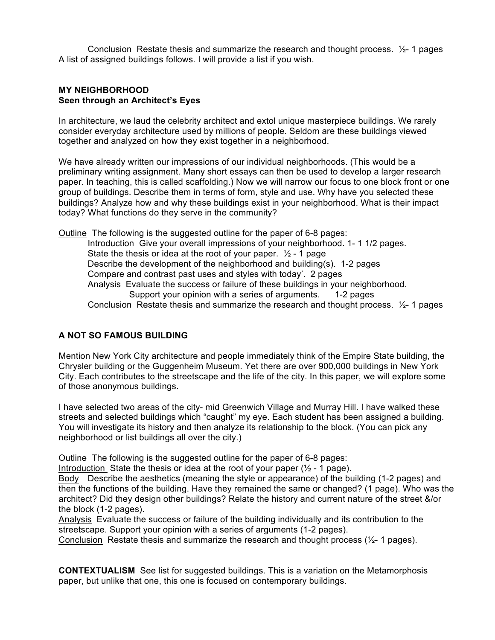Conclusion Restate thesis and summarize the research and thought process.  $\frac{1}{2}$ - 1 pages A list of assigned buildings follows. I will provide a list if you wish.

## **MY NEIGHBORHOOD Seen through an Architect's Eyes**

In architecture, we laud the celebrity architect and extol unique masterpiece buildings. We rarely consider everyday architecture used by millions of people. Seldom are these buildings viewed together and analyzed on how they exist together in a neighborhood.

We have already written our impressions of our individual neighborhoods. (This would be a preliminary writing assignment. Many short essays can then be used to develop a larger research paper. In teaching, this is called scaffolding.) Now we will narrow our focus to one block front or one group of buildings. Describe them in terms of form, style and use. Why have you selected these buildings? Analyze how and why these buildings exist in your neighborhood. What is their impact today? What functions do they serve in the community?

Outline The following is the suggested outline for the paper of 6-8 pages: Introduction Give your overall impressions of your neighborhood. 1- 1 1/2 pages. State the thesis or idea at the root of your paper.  $\frac{1}{2}$  - 1 page Describe the development of the neighborhood and building(s). 1-2 pages Compare and contrast past uses and styles with today'. 2 pages Analysis Evaluate the success or failure of these buildings in your neighborhood. Support your opinion with a series of arguments. 1-2 pages Conclusion Restate thesis and summarize the research and thought process.  $\frac{1}{2}$ - 1 pages

# **A NOT SO FAMOUS BUILDING**

Mention New York City architecture and people immediately think of the Empire State building, the Chrysler building or the Guggenheim Museum. Yet there are over 900,000 buildings in New York City. Each contributes to the streetscape and the life of the city. In this paper, we will explore some of those anonymous buildings.

I have selected two areas of the city- mid Greenwich Village and Murray Hill. I have walked these streets and selected buildings which "caught" my eye. Each student has been assigned a building. You will investigate its history and then analyze its relationship to the block. (You can pick any neighborhood or list buildings all over the city.)

Outline The following is the suggested outline for the paper of 6-8 pages:

Introduction State the thesis or idea at the root of your paper  $(1/2 - 1)$  page).

Body Describe the aesthetics (meaning the style or appearance) of the building (1-2 pages) and then the functions of the building. Have they remained the same or changed? (1 page). Who was the architect? Did they design other buildings? Relate the history and current nature of the street &/or the block (1-2 pages).

Analysis Evaluate the success or failure of the building individually and its contribution to the streetscape. Support your opinion with a series of arguments (1-2 pages).

Conclusion Restate thesis and summarize the research and thought process  $(\frac{1}{2} - 1)$  pages).

**CONTEXTUALISM** See list for suggested buildings. This is a variation on the Metamorphosis paper, but unlike that one, this one is focused on contemporary buildings.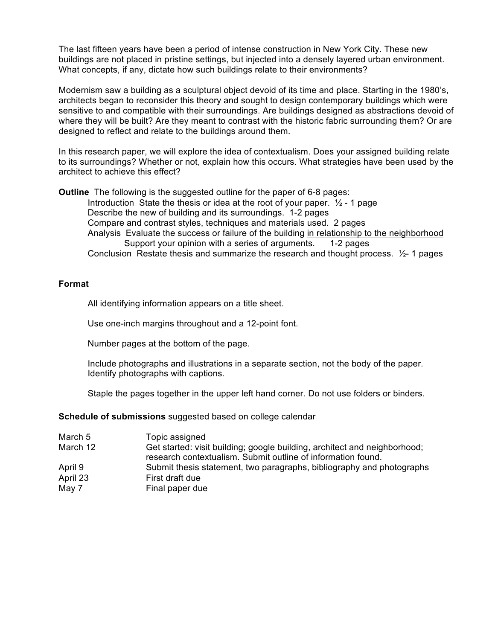The last fifteen years have been a period of intense construction in New York City. These new buildings are not placed in pristine settings, but injected into a densely layered urban environment. What concepts, if any, dictate how such buildings relate to their environments?

Modernism saw a building as a sculptural object devoid of its time and place. Starting in the 1980's, architects began to reconsider this theory and sought to design contemporary buildings which were sensitive to and compatible with their surroundings. Are buildings designed as abstractions devoid of where they will be built? Are they meant to contrast with the historic fabric surrounding them? Or are designed to reflect and relate to the buildings around them.

In this research paper, we will explore the idea of contextualism. Does your assigned building relate to its surroundings? Whether or not, explain how this occurs. What strategies have been used by the architect to achieve this effect?

**Outline** The following is the suggested outline for the paper of 6-8 pages: Introduction State the thesis or idea at the root of your paper.  $\frac{1}{2}$  - 1 page Describe the new of building and its surroundings. 1-2 pages Compare and contrast styles, techniques and materials used. 2 pages Analysis Evaluate the success or failure of the building in relationship to the neighborhood Support your opinion with a series of arguments. 1-2 pages Conclusion Restate thesis and summarize the research and thought process. ½- 1 pages

## **Format**

All identifying information appears on a title sheet.

Use one-inch margins throughout and a 12-point font.

Number pages at the bottom of the page.

Include photographs and illustrations in a separate section, not the body of the paper. Identify photographs with captions.

Staple the pages together in the upper left hand corner. Do not use folders or binders.

**Schedule of submissions** suggested based on college calendar

| March 5  | Topic assigned                                                                                                                            |
|----------|-------------------------------------------------------------------------------------------------------------------------------------------|
| March 12 | Get started: visit building; google building, architect and neighborhood;<br>research contextualism. Submit outline of information found. |
| April 9  | Submit thesis statement, two paragraphs, bibliography and photographs                                                                     |
| April 23 | First draft due                                                                                                                           |
| May 7    | Final paper due                                                                                                                           |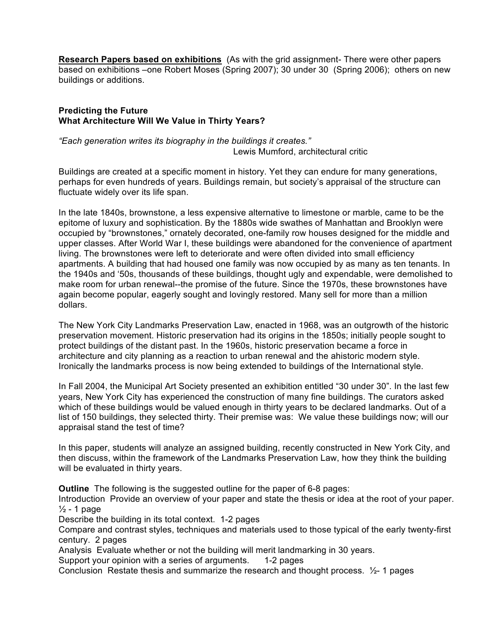**Research Papers based on exhibitions** (As with the grid assignment- There were other papers based on exhibitions –one Robert Moses (Spring 2007); 30 under 30 (Spring 2006); others on new buildings or additions.

# **Predicting the Future What Architecture Will We Value in Thirty Years?**

*"Each generation writes its biography in the buildings it creates."* Lewis Mumford, architectural critic

Buildings are created at a specific moment in history. Yet they can endure for many generations, perhaps for even hundreds of years. Buildings remain, but society's appraisal of the structure can fluctuate widely over its life span.

In the late 1840s, brownstone, a less expensive alternative to limestone or marble, came to be the epitome of luxury and sophistication. By the 1880s wide swathes of Manhattan and Brooklyn were occupied by "brownstones," ornately decorated, one-family row houses designed for the middle and upper classes. After World War I, these buildings were abandoned for the convenience of apartment living. The brownstones were left to deteriorate and were often divided into small efficiency apartments. A building that had housed one family was now occupied by as many as ten tenants. In the 1940s and '50s, thousands of these buildings, thought ugly and expendable, were demolished to make room for urban renewal--the promise of the future. Since the 1970s, these brownstones have again become popular, eagerly sought and lovingly restored. Many sell for more than a million dollars.

The New York City Landmarks Preservation Law, enacted in 1968, was an outgrowth of the historic preservation movement. Historic preservation had its origins in the 1850s; initially people sought to protect buildings of the distant past. In the 1960s, historic preservation became a force in architecture and city planning as a reaction to urban renewal and the ahistoric modern style. Ironically the landmarks process is now being extended to buildings of the International style.

In Fall 2004, the Municipal Art Society presented an exhibition entitled "30 under 30". In the last few years, New York City has experienced the construction of many fine buildings. The curators asked which of these buildings would be valued enough in thirty years to be declared landmarks. Out of a list of 150 buildings, they selected thirty. Their premise was: We value these buildings now; will our appraisal stand the test of time?

In this paper, students will analyze an assigned building, recently constructed in New York City, and then discuss, within the framework of the Landmarks Preservation Law, how they think the building will be evaluated in thirty years.

**Outline** The following is the suggested outline for the paper of 6-8 pages:

Introduction Provide an overview of your paper and state the thesis or idea at the root of your paper.  $\frac{1}{2}$  - 1 page

Describe the building in its total context. 1-2 pages

Compare and contrast styles, techniques and materials used to those typical of the early twenty-first century. 2 pages

Analysis Evaluate whether or not the building will merit landmarking in 30 years.

Support your opinion with a series of arguments. 1-2 pages

Conclusion Restate thesis and summarize the research and thought process.  $\frac{1}{2}$ - 1 pages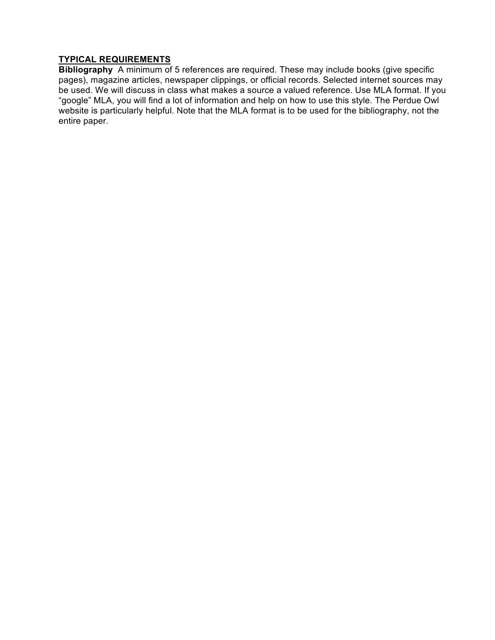# **TYPICAL REQUIREMENTS**

**Bibliography** A minimum of 5 references are required. These may include books (give specific pages), magazine articles, newspaper clippings, or official records. Selected internet sources may be used. We will discuss in class what makes a source a valued reference. Use MLA format. If you "google" MLA, you will find a lot of information and help on how to use this style. The Perdue Owl website is particularly helpful. Note that the MLA format is to be used for the bibliography, not the entire paper.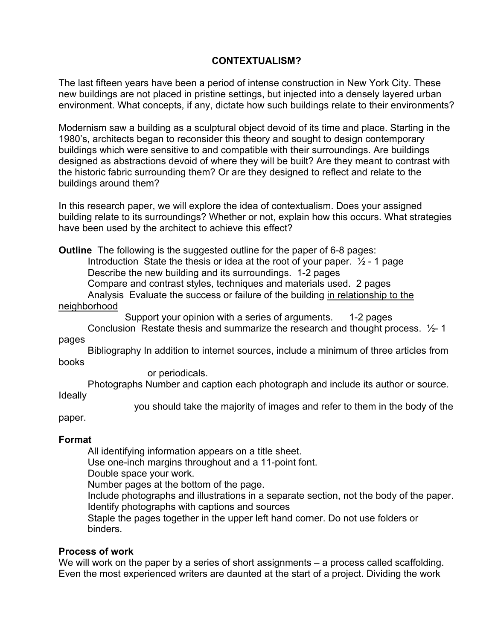# **CONTEXTUALISM?**

The last fifteen years have been a period of intense construction in New York City. These new buildings are not placed in pristine settings, but injected into a densely layered urban environment. What concepts, if any, dictate how such buildings relate to their environments?

Modernism saw a building as a sculptural object devoid of its time and place. Starting in the 1980's, architects began to reconsider this theory and sought to design contemporary buildings which were sensitive to and compatible with their surroundings. Are buildings designed as abstractions devoid of where they will be built? Are they meant to contrast with the historic fabric surrounding them? Or are they designed to reflect and relate to the buildings around them?

In this research paper, we will explore the idea of contextualism. Does your assigned building relate to its surroundings? Whether or not, explain how this occurs. What strategies have been used by the architect to achieve this effect?

**Outline** The following is the suggested outline for the paper of 6-8 pages:

Introduction State the thesis or idea at the root of your paper.  $\frac{1}{2}$  - 1 page Describe the new building and its surroundings. 1-2 pages

Compare and contrast styles, techniques and materials used. 2 pages

Analysis Evaluate the success or failure of the building in relationship to the neighborhood

Support your opinion with a series of arguments. 1-2 pages

Conclusion Restate thesis and summarize the research and thought process. ½- 1 pages

Bibliography In addition to internet sources, include a minimum of three articles from books

or periodicals.

Photographs Number and caption each photograph and include its author or source. Ideally

you should take the majority of images and refer to them in the body of the

paper.

# **Format**

All identifying information appears on a title sheet.

Use one-inch margins throughout and a 11-point font.

Double space your work.

Number pages at the bottom of the page.

Include photographs and illustrations in a separate section, not the body of the paper. Identify photographs with captions and sources

Staple the pages together in the upper left hand corner. Do not use folders or binders.

# **Process of work**

We will work on the paper by a series of short assignments – a process called scaffolding. Even the most experienced writers are daunted at the start of a project. Dividing the work